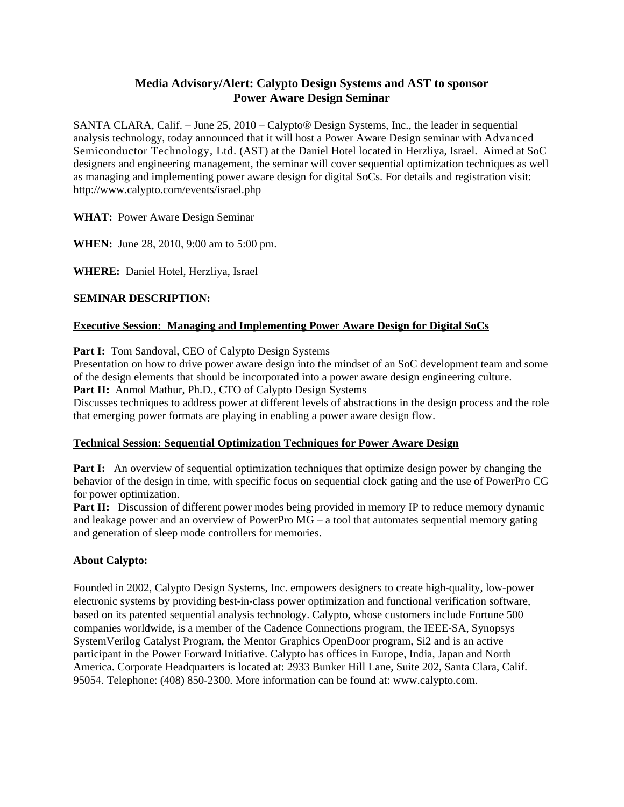# **Media Advisory/Alert: Calypto Design Systems and AST to sponsor Power Aware Design Seminar**

SANTA CLARA, Calif. – June 25, 2010 – Calypto® Design Systems, Inc., the leader in sequential analysis technology, today announced that it will host a Power Aware Design seminar with Advanced Semiconductor Technology, Ltd. (AST) at the Daniel Hotel located in Herzliya, Israel. Aimed at SoC designers and engineering management, the seminar will cover sequential optimization techniques as well as managing and implementing power aware design for digital SoCs. For details and registration visit: http://www.calypto.com/events/israel.php

### **WHAT:** Power Aware Design Seminar

**WHEN:** June 28, 2010, 9:00 am to 5:00 pm.

**WHERE:** Daniel Hotel, Herzliya, Israel

### **SEMINAR DESCRIPTION:**

### **Executive Session: Managing and Implementing Power Aware Design for Digital SoCs**

Part I: Tom Sandoval, CEO of Calypto Design Systems

Presentation on how to drive power aware design into the mindset of an SoC development team and some of the design elements that should be incorporated into a power aware design engineering culture.

Part II: Anmol Mathur, Ph.D., CTO of Calypto Design Systems

Discusses techniques to address power at different levels of abstractions in the design process and the role that emerging power formats are playing in enabling a power aware design flow.

#### **Technical Session: Sequential Optimization Techniques for Power Aware Design**

**Part I:** An overview of sequential optimization techniques that optimize design power by changing the behavior of the design in time, with specific focus on sequential clock gating and the use of PowerPro CG for power optimization.

**Part II:** Discussion of different power modes being provided in memory IP to reduce memory dynamic and leakage power and an overview of PowerPro MG – a tool that automates sequential memory gating and generation of sleep mode controllers for memories.

## **About Calypto:**

Founded in 2002, Calypto Design Systems, Inc. empowers designers to create high‐quality, low-power electronic systems by providing best-in-class power optimization and functional verification software, based on its patented sequential analysis technology. Calypto, whose customers include Fortune 500 companies worldwide**,** is a member of the Cadence Connections program, the IEEE‐SA, Synopsys SystemVerilog Catalyst Program, the Mentor Graphics OpenDoor program, Si2 and is an active participant in the Power Forward Initiative. Calypto has offices in Europe, India, Japan and North America. Corporate Headquarters is located at: 2933 Bunker Hill Lane, Suite 202, Santa Clara, Calif. 95054. Telephone: (408) 850‐2300. More information can be found at: www.calypto.com.